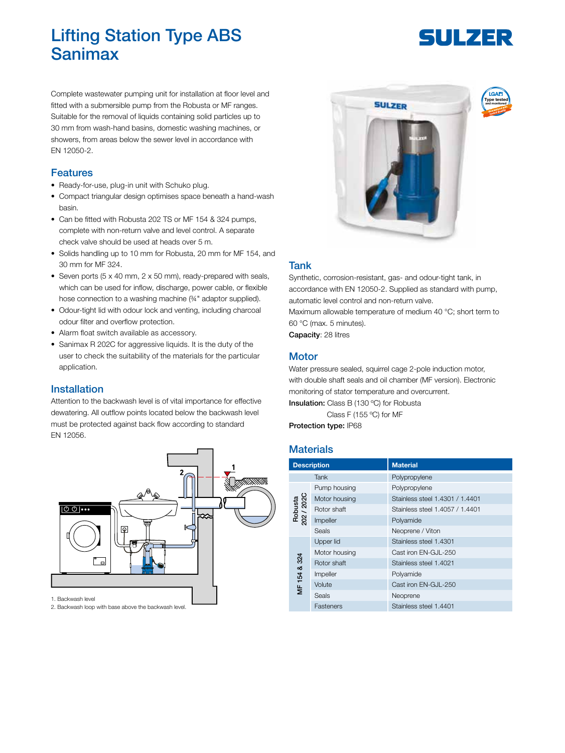## Lifting Station Type ABS Sanimax

# SULZER

Complete wastewater pumping unit for installation at floor level and fitted with a submersible pump from the Robusta or MF ranges. Suitable for the removal of liquids containing solid particles up to 30 mm from wash-hand basins, domestic washing machines, or showers, from areas below the sewer level in accordance with EN 12050-2.

#### Features

- Ready-for-use, plug-in unit with Schuko plug.
- Compact triangular design optimises space beneath a hand-wash basin.
- Can be fitted with Robusta 202 TS or MF 154 & 324 pumps, complete with non-return valve and level control. A separate check valve should be used at heads over 5 m.
- Solids handling up to 10 mm for Robusta, 20 mm for MF 154, and 30 mm for MF 324.
- Seven ports (5 x 40 mm, 2 x 50 mm), ready-prepared with seals, which can be used for inflow, discharge, power cable, or flexible hose connection to a washing machine (%" adaptor supplied).
- Odour-tight lid with odour lock and venting, including charcoal odour filter and overflow protection.
- Alarm float switch available as accessory.
- Sanimax R 202C for aggressive liquids. It is the duty of the user to check the suitability of the materials for the particular application.

#### Installation

Attention to the backwash level is of vital importance for effective dewatering. All outflow points located below the backwash level must be protected against back flow according to standard EN 12056.



2. Backwash loop with base above the backwash level.



### Tank

Synthetic, corrosion-resistant, gas- and odour-tight tank, in accordance with EN 12050-2. Supplied as standard with pump, automatic level control and non-return valve.

Maximum allowable temperature of medium 40 °C; short term to 60 °C (max. 5 minutes).

Capacity: 28 litres

#### **Motor**

Water pressure sealed, squirrel cage 2-pole induction motor, with double shaft seals and oil chamber (MF version). Electronic monitoring of stator temperature and overcurrent. Insulation: Class B (130 °C) for Robusta

Class F (155 ºC) for MF

Protection type: IP68

## **Materials**

| <b>Description</b>    |               | <b>Material</b>                 |
|-----------------------|---------------|---------------------------------|
|                       | Tank          | Polypropylene                   |
| Robusta<br>202 / 202C | Pump housing  | Polypropylene                   |
|                       | Motor housing | Stainless steel 1.4301 / 1.4401 |
|                       | Rotor shaft   | Stainless steel 1.4057 / 1.4401 |
|                       | Impeller      | Polyamide                       |
|                       | Seals         | Neoprene / Viton                |
| MF 154 & 324          | Upper lid     | Stainless steel 1.4301          |
|                       | Motor housing | Cast iron EN-GJL-250            |
|                       | Rotor shaft   | Stainless steel 1.4021          |
|                       | Impeller      | Polyamide                       |
|                       | Volute        | Cast iron EN-GJL-250            |
|                       | Seals         | Neoprene                        |
|                       | Fasteners     | Stainless steel 1.4401          |